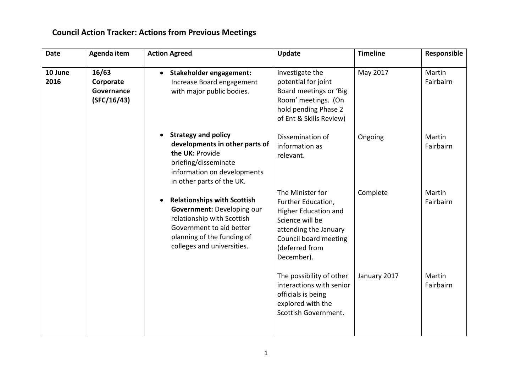## **Council Action Tracker: Actions from Previous Meetings**

| <b>Date</b>     | Agenda item                                     | <b>Action Agreed</b>                                                                                                                                                                   | Update                                                                                                                                                              | <b>Timeline</b> | Responsible         |
|-----------------|-------------------------------------------------|----------------------------------------------------------------------------------------------------------------------------------------------------------------------------------------|---------------------------------------------------------------------------------------------------------------------------------------------------------------------|-----------------|---------------------|
| 10 June<br>2016 | 16/63<br>Corporate<br>Governance<br>(SFC/16/43) | Stakeholder engagement:<br>$\bullet$<br>Increase Board engagement<br>with major public bodies.                                                                                         | Investigate the<br>potential for joint<br>Board meetings or 'Big<br>Room' meetings. (On<br>hold pending Phase 2<br>of Ent & Skills Review)                          | May 2017        | Martin<br>Fairbairn |
|                 |                                                 | <b>Strategy and policy</b><br>developments in other parts of<br>the UK: Provide<br>briefing/disseminate<br>information on developments<br>in other parts of the UK.                    | Dissemination of<br>information as<br>relevant.                                                                                                                     | Ongoing         | Martin<br>Fairbairn |
|                 |                                                 | <b>Relationships with Scottish</b><br>Government: Developing our<br>relationship with Scottish<br>Government to aid better<br>planning of the funding of<br>colleges and universities. | The Minister for<br>Further Education,<br>Higher Education and<br>Science will be<br>attending the January<br>Council board meeting<br>(deferred from<br>December). | Complete        | Martin<br>Fairbairn |
|                 |                                                 |                                                                                                                                                                                        | The possibility of other<br>interactions with senior<br>officials is being<br>explored with the<br>Scottish Government.                                             | January 2017    | Martin<br>Fairbairn |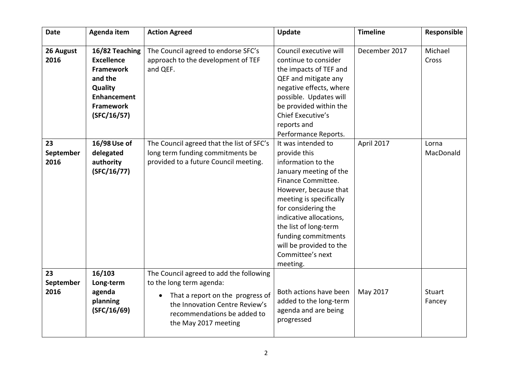| <b>Date</b>             | Agenda item                                                                                                                            | <b>Action Agreed</b>                                                                                                                                                                                          | <b>Update</b>                                                                                                                                                                                                                                                                                                             | <b>Timeline</b> | Responsible        |
|-------------------------|----------------------------------------------------------------------------------------------------------------------------------------|---------------------------------------------------------------------------------------------------------------------------------------------------------------------------------------------------------------|---------------------------------------------------------------------------------------------------------------------------------------------------------------------------------------------------------------------------------------------------------------------------------------------------------------------------|-----------------|--------------------|
| 26 August<br>2016       | 16/82 Teaching<br><b>Excellence</b><br><b>Framework</b><br>and the<br>Quality<br><b>Enhancement</b><br><b>Framework</b><br>(SFC/16/57) | The Council agreed to endorse SFC's<br>approach to the development of TEF<br>and QEF.                                                                                                                         | Council executive will<br>continue to consider<br>the impacts of TEF and<br>QEF and mitigate any<br>negative effects, where<br>possible. Updates will<br>be provided within the<br>Chief Executive's<br>reports and<br>Performance Reports.                                                                               | December 2017   | Michael<br>Cross   |
| 23<br>September<br>2016 | 16/98 Use of<br>delegated<br>authority<br>(SFC/16/77)                                                                                  | The Council agreed that the list of SFC's<br>long term funding commitments be<br>provided to a future Council meeting.                                                                                        | It was intended to<br>provide this<br>information to the<br>January meeting of the<br>Finance Committee.<br>However, because that<br>meeting is specifically<br>for considering the<br>indicative allocations,<br>the list of long-term<br>funding commitments<br>will be provided to the<br>Committee's next<br>meeting. | April 2017      | Lorna<br>MacDonald |
| 23<br>September<br>2016 | 16/103<br>Long-term<br>agenda<br>planning<br>(SFC/16/69)                                                                               | The Council agreed to add the following<br>to the long term agenda:<br>That a report on the progress of<br>$\bullet$<br>the Innovation Centre Review's<br>recommendations be added to<br>the May 2017 meeting | Both actions have been<br>added to the long-term<br>agenda and are being<br>progressed                                                                                                                                                                                                                                    | May 2017        | Stuart<br>Fancey   |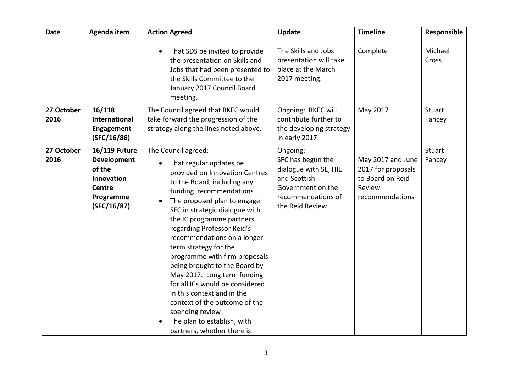| <b>Date</b>        | Agenda item                                                                                                     | <b>Action Agreed</b>                                                                                                                                                                                                                                                                                                                                                                                                                                                                                                                                                                                                           | <b>Update</b>                                                                                                                         | <b>Timeline</b>                                                                          | Responsible      |
|--------------------|-----------------------------------------------------------------------------------------------------------------|--------------------------------------------------------------------------------------------------------------------------------------------------------------------------------------------------------------------------------------------------------------------------------------------------------------------------------------------------------------------------------------------------------------------------------------------------------------------------------------------------------------------------------------------------------------------------------------------------------------------------------|---------------------------------------------------------------------------------------------------------------------------------------|------------------------------------------------------------------------------------------|------------------|
|                    |                                                                                                                 | That SDS be invited to provide<br>$\bullet$<br>the presentation on Skills and<br>Jobs that had been presented to<br>the Skills Committee to the<br>January 2017 Council Board<br>meeting.                                                                                                                                                                                                                                                                                                                                                                                                                                      | The Skills and Jobs<br>presentation will take<br>place at the March<br>2017 meeting.                                                  | Complete                                                                                 | Michael<br>Cross |
| 27 October<br>2016 | 16/118<br><b>International</b><br><b>Engagement</b><br>(SFC/16/86)                                              | The Council agreed that RKEC would<br>take forward the progression of the<br>strategy along the lines noted above.                                                                                                                                                                                                                                                                                                                                                                                                                                                                                                             | Ongoing: RKEC will<br>contribute further to<br>the developing strategy<br>in early 2017.                                              | May 2017                                                                                 | Stuart<br>Fancey |
| 27 October<br>2016 | <b>16/119 Future</b><br><b>Development</b><br>of the<br>Innovation<br><b>Centre</b><br>Programme<br>(SFC/16/87) | The Council agreed:<br>That regular updates be<br>$\bullet$<br>provided on Innovation Centres<br>to the Board, including any<br>funding recommendations<br>The proposed plan to engage<br>SFC in strategic dialogue with<br>the IC programme partners<br>regarding Professor Reid's<br>recommendations on a longer<br>term strategy for the<br>programme with firm proposals<br>being brought to the Board by<br>May 2017. Long term funding<br>for all ICs would be considered<br>in this context and in the<br>context of the outcome of the<br>spending review<br>The plan to establish, with<br>partners, whether there is | Ongoing:<br>SFC has begun the<br>dialogue with SE, HIE<br>and Scottish<br>Government on the<br>recommendations of<br>the Reid Review. | May 2017 and June<br>2017 for proposals<br>to Board on Reid<br>Review<br>recommendations | Stuart<br>Fancey |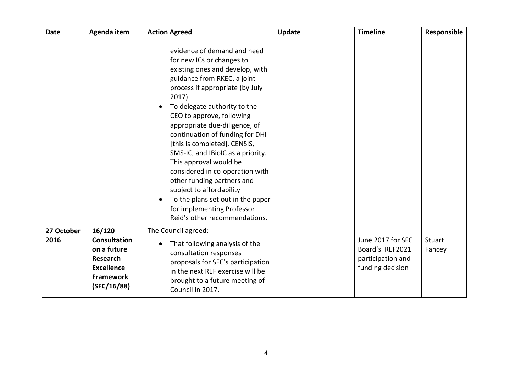| <b>Date</b>        | Agenda item                                                                                                             | <b>Action Agreed</b>                                                                                                                                                                                                                                                                                                                                                                                                                                                                                                                                                                                    | Update | <b>Timeline</b>                                                               | Responsible      |
|--------------------|-------------------------------------------------------------------------------------------------------------------------|---------------------------------------------------------------------------------------------------------------------------------------------------------------------------------------------------------------------------------------------------------------------------------------------------------------------------------------------------------------------------------------------------------------------------------------------------------------------------------------------------------------------------------------------------------------------------------------------------------|--------|-------------------------------------------------------------------------------|------------------|
|                    |                                                                                                                         | evidence of demand and need<br>for new ICs or changes to<br>existing ones and develop, with<br>guidance from RKEC, a joint<br>process if appropriate (by July<br>2017)<br>To delegate authority to the<br>CEO to approve, following<br>appropriate due-diligence, of<br>continuation of funding for DHI<br>[this is completed], CENSIS,<br>SMS-IC, and IBioIC as a priority.<br>This approval would be<br>considered in co-operation with<br>other funding partners and<br>subject to affordability<br>To the plans set out in the paper<br>for implementing Professor<br>Reid's other recommendations. |        |                                                                               |                  |
| 27 October<br>2016 | 16/120<br><b>Consultation</b><br>on a future<br><b>Research</b><br><b>Excellence</b><br><b>Framework</b><br>(SFC/16/88) | The Council agreed:<br>That following analysis of the<br>consultation responses<br>proposals for SFC's participation<br>in the next REF exercise will be<br>brought to a future meeting of<br>Council in 2017.                                                                                                                                                                                                                                                                                                                                                                                          |        | June 2017 for SFC<br>Board's REF2021<br>participation and<br>funding decision | Stuart<br>Fancey |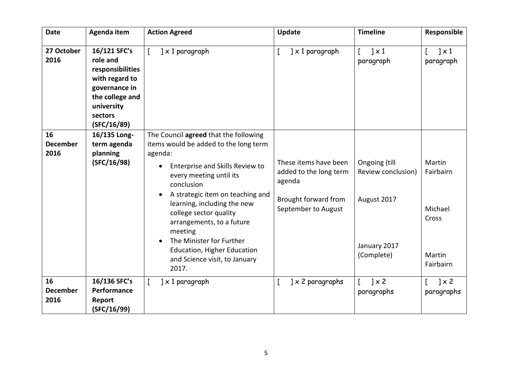| <b>Date</b>                   | Agenda item                                                                                                                                | <b>Action Agreed</b>                                                                                                                                                                                                                                                                                                                                                                                                                | <b>Update</b>                                                                                            | <b>Timeline</b>                                                                  | Responsible                                                    |
|-------------------------------|--------------------------------------------------------------------------------------------------------------------------------------------|-------------------------------------------------------------------------------------------------------------------------------------------------------------------------------------------------------------------------------------------------------------------------------------------------------------------------------------------------------------------------------------------------------------------------------------|----------------------------------------------------------------------------------------------------------|----------------------------------------------------------------------------------|----------------------------------------------------------------|
| 27 October<br>2016            | 16/121 SFC's<br>role and<br>responsibilities<br>with regard to<br>governance in<br>the college and<br>university<br>sectors<br>(SFC/16/89) | $] \times 1$ paragraph                                                                                                                                                                                                                                                                                                                                                                                                              | $] \times 1$ paragraph                                                                                   | $\vert x1 \rangle$<br>paragraph                                                  | $\vert x \vert$<br>paragraph                                   |
| 16<br><b>December</b><br>2016 | 16/135 Long-<br>term agenda<br>planning<br>(SFC/16/98)                                                                                     | The Council agreed that the following<br>items would be added to the long term<br>agenda:<br>Enterprise and Skills Review to<br>$\bullet$<br>every meeting until its<br>conclusion<br>A strategic item on teaching and<br>learning, including the new<br>college sector quality<br>arrangements, to a future<br>meeting<br>The Minister for Further<br><b>Education, Higher Education</b><br>and Science visit, to January<br>2017. | These items have been<br>added to the long term<br>agenda<br>Brought forward from<br>September to August | Ongoing (till<br>Review conclusion)<br>August 2017<br>January 2017<br>(Complete) | Martin<br>Fairbairn<br>Michael<br>Cross<br>Martin<br>Fairbairn |
| 16<br><b>December</b><br>2016 | 16/136 SFC's<br>Performance<br>Report<br>(SFC/16/99)                                                                                       | $\left] \times 1 \right.$ paragraph                                                                                                                                                                                                                                                                                                                                                                                                 | $] \times 2$ paragraphs                                                                                  | $1 \times 2$<br>paragraphs                                                       | $\sqrt{2}$<br>paragraphs                                       |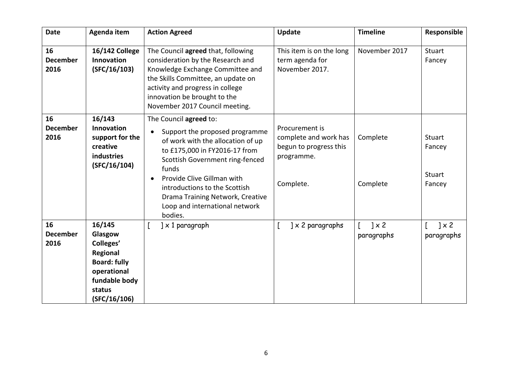| <b>Date</b>                   | Agenda item                                                                                                                        | <b>Action Agreed</b>                                                                                                                                                                                                                                                                                                                    | <b>Update</b>                                                                                | <b>Timeline</b>            | Responsible                          |
|-------------------------------|------------------------------------------------------------------------------------------------------------------------------------|-----------------------------------------------------------------------------------------------------------------------------------------------------------------------------------------------------------------------------------------------------------------------------------------------------------------------------------------|----------------------------------------------------------------------------------------------|----------------------------|--------------------------------------|
| 16<br><b>December</b><br>2016 | <b>16/142 College</b><br>Innovation<br>(SFC/16/103)                                                                                | The Council agreed that, following<br>consideration by the Research and<br>Knowledge Exchange Committee and<br>the Skills Committee, an update on<br>activity and progress in college<br>innovation be brought to the<br>November 2017 Council meeting.                                                                                 | This item is on the long<br>term agenda for<br>November 2017.                                | November 2017              | Stuart<br>Fancey                     |
| 16<br><b>December</b><br>2016 | 16/143<br><b>Innovation</b><br>support for the<br>creative<br>industries<br>(SFC/16/104)                                           | The Council agreed to:<br>Support the proposed programme<br>$\bullet$<br>of work with the allocation of up<br>to £175,000 in FY2016-17 from<br>Scottish Government ring-fenced<br>funds<br>Provide Clive Gillman with<br>introductions to the Scottish<br>Drama Training Network, Creative<br>Loop and international network<br>bodies. | Procurement is<br>complete and work has<br>begun to progress this<br>programme.<br>Complete. | Complete<br>Complete       | Stuart<br>Fancey<br>Stuart<br>Fancey |
| 16<br><b>December</b><br>2016 | 16/145<br>Glasgow<br>Colleges'<br><b>Regional</b><br><b>Board: fully</b><br>operational<br>fundable body<br>status<br>(SFC/16/106) | $] \times 1$ paragraph<br>L                                                                                                                                                                                                                                                                                                             | $] \times 2$ paragraphs                                                                      | $] \times 2$<br>paragraphs | $] \times 2$<br>paragraphs           |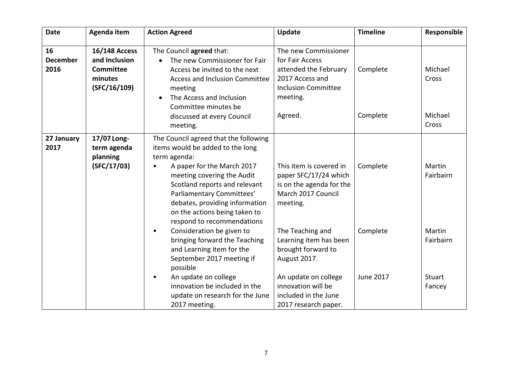| <b>Date</b>                   | Agenda item                                                                          | <b>Action Agreed</b>                                                                                                                                                                                                                                                                                                 | <b>Update</b>                                                                                                                            | <b>Timeline</b>       | Responsible                          |
|-------------------------------|--------------------------------------------------------------------------------------|----------------------------------------------------------------------------------------------------------------------------------------------------------------------------------------------------------------------------------------------------------------------------------------------------------------------|------------------------------------------------------------------------------------------------------------------------------------------|-----------------------|--------------------------------------|
| 16<br><b>December</b><br>2016 | <b>16/148 Access</b><br>and Inclusion<br><b>Committee</b><br>minutes<br>(SFC/16/109) | The Council agreed that:<br>The new Commissioner for Fair<br>Access be invited to the next<br><b>Access and Inclusion Committee</b><br>meeting<br>The Access and Inclusion<br>Committee minutes be<br>discussed at every Council<br>meeting.                                                                         | The new Commissioner<br>for Fair Access<br>attended the February<br>2017 Access and<br><b>Inclusion Committee</b><br>meeting.<br>Agreed. | Complete<br>Complete  | Michael<br>Cross<br>Michael<br>Cross |
| 27 January<br>2017            | 17/07 Long-<br>term agenda<br>planning<br>(SFC/17/03)                                | The Council agreed that the following<br>items would be added to the long<br>term agenda:<br>A paper for the March 2017<br>meeting covering the Audit<br>Scotland reports and relevant<br>Parliamentary Committees'<br>debates, providing information<br>on the actions being taken to<br>respond to recommendations | This item is covered in<br>paper SFC/17/24 which<br>is on the agenda for the<br>March 2017 Council<br>meeting.                           | Complete              | Martin<br>Fairbairn                  |
|                               |                                                                                      | Consideration be given to<br>٠<br>bringing forward the Teaching<br>and Learning item for the<br>September 2017 meeting if<br>possible<br>An update on college                                                                                                                                                        | The Teaching and<br>Learning item has been<br>brought forward to<br>August 2017.<br>An update on college                                 | Complete<br>June 2017 | Martin<br>Fairbairn<br>Stuart        |
|                               |                                                                                      | innovation be included in the<br>update on research for the June<br>2017 meeting.                                                                                                                                                                                                                                    | innovation will be<br>included in the June<br>2017 research paper.                                                                       |                       | Fancey                               |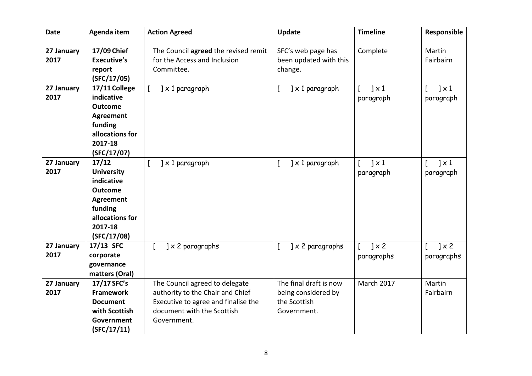| <b>Date</b>        | Agenda item                                                                                                                            | <b>Action Agreed</b>                                                                                                                                   | <b>Update</b>                                                                | <b>Timeline</b>                        | Responsible                            |
|--------------------|----------------------------------------------------------------------------------------------------------------------------------------|--------------------------------------------------------------------------------------------------------------------------------------------------------|------------------------------------------------------------------------------|----------------------------------------|----------------------------------------|
| 27 January<br>2017 | 17/09 Chief<br><b>Executive's</b><br>report<br>(SFC/17/05)                                                                             | The Council agreed the revised remit<br>for the Access and Inclusion<br>Committee.                                                                     | SFC's web page has<br>been updated with this<br>change.                      | Complete                               | Martin<br>Fairbairn                    |
| 27 January<br>2017 | 17/11 College<br>indicative<br><b>Outcome</b><br><b>Agreement</b><br>funding<br>allocations for<br>2017-18<br>(SFC/17/07)              | $] \times 1$ paragraph                                                                                                                                 | $] \times 1$ paragraph<br>L                                                  | $\left] \times 1 \right]$<br>paragraph | $\left] \times 1 \right]$<br>paragraph |
| 27 January<br>2017 | 17/12<br><b>University</b><br>indicative<br><b>Outcome</b><br><b>Agreement</b><br>funding<br>allocations for<br>2017-18<br>(SFC/17/08) | $] \times 1$ paragraph                                                                                                                                 | $\mathfrak l$<br>$] \times 1$ paragraph                                      | $\vert \times 1 \vert$<br>paragraph    | $\sqrt{1 \times 1}$<br>paragraph       |
| 27 January<br>2017 | 17/13 SFC<br>corporate<br>governance<br>matters (Oral)                                                                                 | $] \times 2$ paragraphs                                                                                                                                | $\mathfrak l$<br>$] \times 2$ paragraphs                                     | $1 \times 2$<br>paragraphs             | $\sqrt{2}$<br>paragraphs               |
| 27 January<br>2017 | 17/17 SFC's<br><b>Framework</b><br><b>Document</b><br>with Scottish<br>Government<br>(SFC/17/11)                                       | The Council agreed to delegate<br>authority to the Chair and Chief<br>Executive to agree and finalise the<br>document with the Scottish<br>Government. | The final draft is now<br>being considered by<br>the Scottish<br>Government. | March 2017                             | Martin<br>Fairbairn                    |